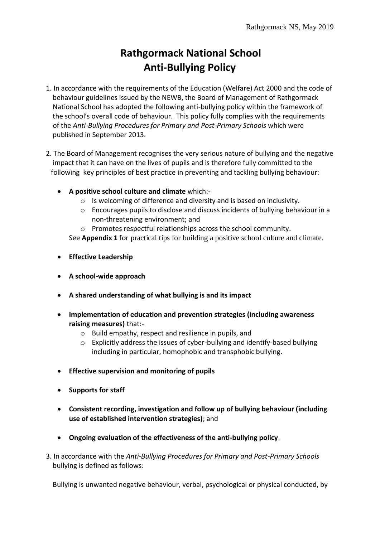# **Rathgormack National School Anti-Bullying Policy**

- 1. In accordance with the requirements of the Education (Welfare) Act 2000 and the code of behaviour guidelines issued by the NEWB, the Board of Management of Rathgormack National School has adopted the following anti-bullying policy within the framework of the school's overall code of behaviour. This policy fully complies with the requirements of the *Anti-Bullying Procedures for Primary and Post-Primary Schools* which were published in September 2013.
- 2. The Board of Management recognises the very serious nature of bullying and the negative impact that it can have on the lives of pupils and is therefore fully committed to the following key principles of best practice in preventing and tackling bullying behaviour:
	- **A positive school culture and climate** which:
		- o Is welcoming of difference and diversity and is based on inclusivity.
		- o Encourages pupils to disclose and discuss incidents of bullying behaviour in a non-threatening environment; and
		- o Promotes respectful relationships across the school community.

See **Appendix 1** for practical tips for building a positive school culture and climate.

- **Effective Leadership**
- **A school-wide approach**
- **A shared understanding of what bullying is and its impact**
- **Implementation of education and prevention strategies (including awareness raising measures)** that:
	- o Build empathy, respect and resilience in pupils, and
	- $\circ$  Explicitly address the issues of cyber-bullying and identify-based bullying including in particular, homophobic and transphobic bullying.
- **Effective supervision and monitoring of pupils**
- **•** Supports for staff
- **Consistent recording, investigation and follow up of bullying behaviour (including use of established intervention strategies)**; and
- **Ongoing evaluation of the effectiveness of the anti-bullying policy**.
- 3. In accordance with the *Anti-Bullying Procedures for Primary and Post-Primary Schools* bullying is defined as follows:

Bullying is unwanted negative behaviour, verbal, psychological or physical conducted, by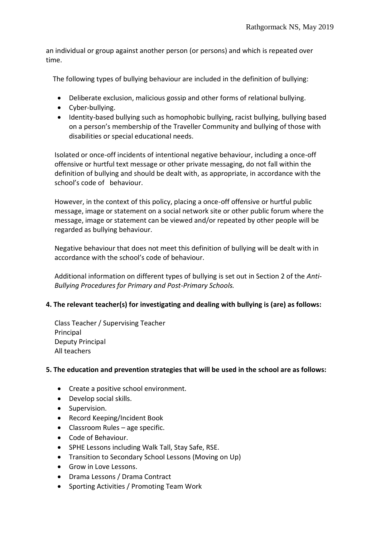an individual or group against another person (or persons) and which is repeated over time.

The following types of bullying behaviour are included in the definition of bullying:

- Deliberate exclusion, malicious gossip and other forms of relational bullying.
- Cyber-bullying.
- Identity-based bullying such as homophobic bullying, racist bullying, bullying based on a person's membership of the Traveller Community and bullying of those with disabilities or special educational needs.

 Isolated or once-off incidents of intentional negative behaviour, including a once-off offensive or hurtful text message or other private messaging, do not fall within the definition of bullying and should be dealt with, as appropriate, in accordance with the school's code of behaviour.

 However, in the context of this policy, placing a once-off offensive or hurtful public message, image or statement on a social network site or other public forum where the message, image or statement can be viewed and/or repeated by other people will be regarded as bullying behaviour.

 Negative behaviour that does not meet this definition of bullying will be dealt with in accordance with the school's code of behaviour.

 Additional information on different types of bullying is set out in Section 2 of the *Anti- Bullying Procedures for Primary and Post-Primary Schools.*

## **4. The relevant teacher(s) for investigating and dealing with bullying is (are) as follows:**

 Class Teacher / Supervising Teacher Principal Deputy Principal All teachers

## **5. The education and prevention strategies that will be used in the school are as follows:**

- Create a positive school environment.
- Develop social skills.
- **•** Supervision.
- Record Keeping/Incident Book
- Classroom Rules age specific.
- Code of Behaviour.
- SPHE Lessons including Walk Tall, Stay Safe, RSE.
- Transition to Secondary School Lessons (Moving on Up)
- Grow in Love Lessons.
- Drama Lessons / Drama Contract
- Sporting Activities / Promoting Team Work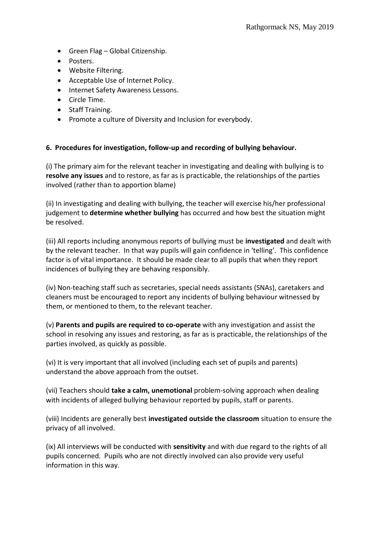- Green Flag Global Citizenship.
- Posters.
- Website Filtering.
- Acceptable Use of Internet Policy.
- Internet Safety Awareness Lessons.
- Circle Time.
- Staff Training.
- Promote a culture of Diversity and Inclusion for everybody.

## **6. Procedures for investigation, follow-up and recording of bullying behaviour.**

(i) The primary aim for the relevant teacher in investigating and dealing with bullying is to **resolve any issues** and to restore, as far as is practicable, the relationships of the parties involved (rather than to apportion blame)

(ii) In investigating and dealing with bullying, the teacher will exercise his/her professional judgement to **determine whether bullying** has occurred and how best the situation might be resolved.

(iii) All reports including anonymous reports of bullying must be **investigated** and dealt with by the relevant teacher. In that way pupils will gain confidence in 'telling'. This confidence factor is of vital importance. It should be made clear to all pupils that when they report incidences of bullying they are behaving responsibly.

(iv) Non-teaching staff such as secretaries, special needs assistants (SNAs), caretakers and cleaners must be encouraged to report any incidents of bullying behaviour witnessed by them, or mentioned to them, to the relevant teacher.

(v) **Parents and pupils are required to co-operate** with any investigation and assist the school in resolving any issues and restoring, as far as is practicable, the relationships of the parties involved, as quickly as possible.

(vi) It is very important that all involved (including each set of pupils and parents) understand the above approach from the outset.

(vii) Teachers should **take a calm, unemotional** problem-solving approach when dealing with incidents of alleged bullying behaviour reported by pupils, staff or parents.

(viii) Incidents are generally best **investigated outside the classroom** situation to ensure the privacy of all involved.

(ix) All interviews will be conducted with **sensitivity** and with due regard to the rights of all pupils concerned. Pupils who are not directly involved can also provide very useful information in this way.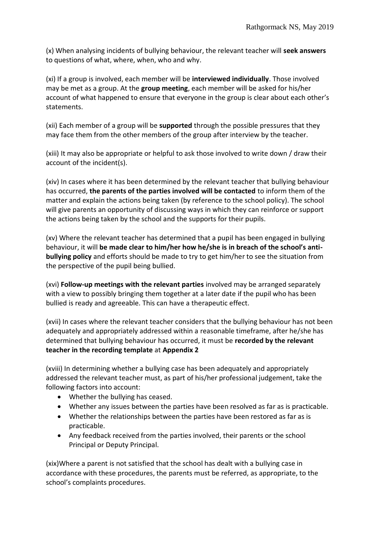(x) When analysing incidents of bullying behaviour, the relevant teacher will **seek answers** to questions of what, where, when, who and why.

(xi) If a group is involved, each member will be **interviewed individually**. Those involved may be met as a group. At the **group meeting**, each member will be asked for his/her account of what happened to ensure that everyone in the group is clear about each other's statements.

(xii) Each member of a group will be **supported** through the possible pressures that they may face them from the other members of the group after interview by the teacher.

(xiii) It may also be appropriate or helpful to ask those involved to write down / draw their account of the incident(s).

(xiv) In cases where it has been determined by the relevant teacher that bullying behaviour has occurred, **the parents of the parties involved will be contacted** to inform them of the matter and explain the actions being taken (by reference to the school policy). The school will give parents an opportunity of discussing ways in which they can reinforce or support the actions being taken by the school and the supports for their pupils.

(xv) Where the relevant teacher has determined that a pupil has been engaged in bullying behaviour, it will **be made clear to him/her how he/she is in breach of the school's antibullying policy** and efforts should be made to try to get him/her to see the situation from the perspective of the pupil being bullied.

(xvi) **Follow-up meetings with the relevant parties** involved may be arranged separately with a view to possibly bringing them together at a later date if the pupil who has been bullied is ready and agreeable. This can have a therapeutic effect.

(xvii) In cases where the relevant teacher considers that the bullying behaviour has not been adequately and appropriately addressed within a reasonable timeframe, after he/she has determined that bullying behaviour has occurred, it must be **recorded by the relevant teacher in the recording template** at **Appendix 2**

(xviii) In determining whether a bullying case has been adequately and appropriately addressed the relevant teacher must, as part of his/her professional judgement, take the following factors into account:

- Whether the bullying has ceased.
- Whether any issues between the parties have been resolved as far as is practicable.
- Whether the relationships between the parties have been restored as far as is practicable.
- Any feedback received from the parties involved, their parents or the school Principal or Deputy Principal.

(xix)Where a parent is not satisfied that the school has dealt with a bullying case in accordance with these procedures, the parents must be referred, as appropriate, to the school's complaints procedures.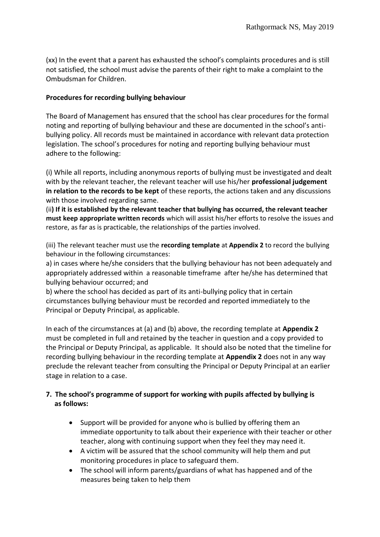(xx) In the event that a parent has exhausted the school's complaints procedures and is still not satisfied, the school must advise the parents of their right to make a complaint to the Ombudsman for Children.

## **Procedures for recording bullying behaviour**

The Board of Management has ensured that the school has clear procedures for the formal noting and reporting of bullying behaviour and these are documented in the school's antibullying policy. All records must be maintained in accordance with relevant data protection legislation. The school's procedures for noting and reporting bullying behaviour must adhere to the following:

(i) While all reports, including anonymous reports of bullying must be investigated and dealt with by the relevant teacher, the relevant teacher will use his/her **professional judgement in relation to the records to be kept** of these reports, the actions taken and any discussions with those involved regarding same.

(ii**) If it is established by the relevant teacher that bullying has occurred, the relevant teacher must keep appropriate written records** which will assist his/her efforts to resolve the issues and restore, as far as is practicable, the relationships of the parties involved.

(iii) The relevant teacher must use the **recording template** at **Appendix 2** to record the bullying behaviour in the following circumstances:

a) in cases where he/she considers that the bullying behaviour has not been adequately and appropriately addressed within a reasonable timeframe after he/she has determined that bullying behaviour occurred; and

b) where the school has decided as part of its anti-bullying policy that in certain circumstances bullying behaviour must be recorded and reported immediately to the Principal or Deputy Principal, as applicable.

In each of the circumstances at (a) and (b) above, the recording template at **Appendix 2**  must be completed in full and retained by the teacher in question and a copy provided to the Principal or Deputy Principal, as applicable. It should also be noted that the timeline for recording bullying behaviour in the recording template at **Appendix 2** does not in any way preclude the relevant teacher from consulting the Principal or Deputy Principal at an earlier stage in relation to a case.

## **7. The school's programme of support for working with pupils affected by bullying is as follows:**

- Support will be provided for anyone who is bullied by offering them an immediate opportunity to talk about their experience with their teacher or other teacher, along with continuing support when they feel they may need it.
- A victim will be assured that the school community will help them and put monitoring procedures in place to safeguard them.
- The school will inform parents/guardians of what has happened and of the measures being taken to help them